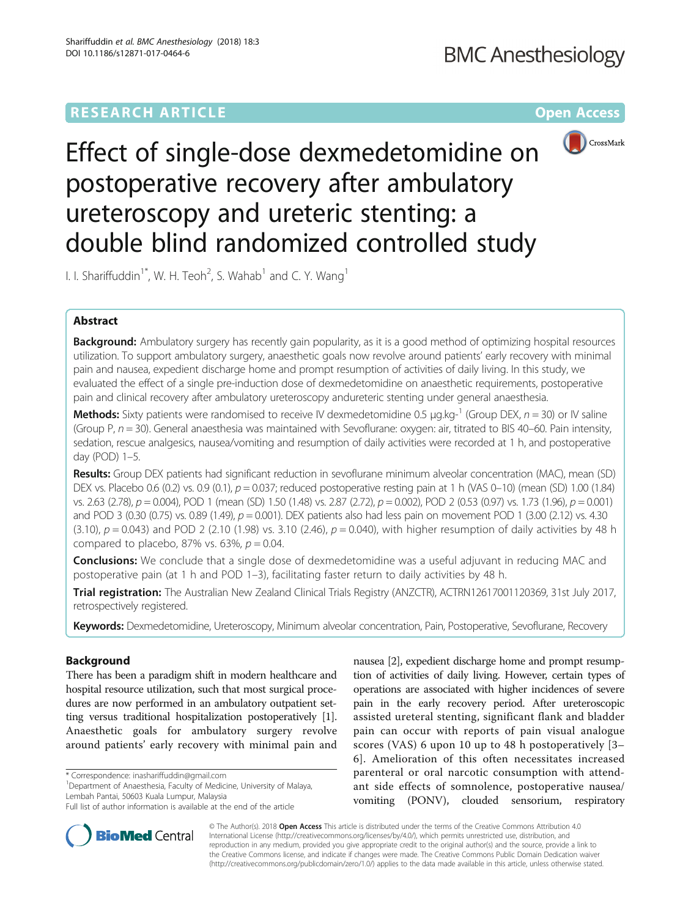# **RESEARCH ARTICLE External Structure Community Community Community Community Community Community Community Community**



Effect of single-dose dexmedetomidine on postoperative recovery after ambulatory ureteroscopy and ureteric stenting: a double blind randomized controlled study

I. I. Shariffuddin<sup>1\*</sup>, W. H. Teoh<sup>2</sup>, S. Wahab<sup>1</sup> and C. Y. Wang<sup>1</sup>

## Abstract

Background: Ambulatory surgery has recently gain popularity, as it is a good method of optimizing hospital resources utilization. To support ambulatory surgery, anaesthetic goals now revolve around patients' early recovery with minimal pain and nausea, expedient discharge home and prompt resumption of activities of daily living. In this study, we evaluated the effect of a single pre-induction dose of dexmedetomidine on anaesthetic requirements, postoperative pain and clinical recovery after ambulatory ureteroscopy andureteric stenting under general anaesthesia.

**Methods:** Sixty patients were randomised to receive IV dexmedetomidine 0.5  $\mu q$ .kg-<sup>1</sup> (Group DEX,  $n = 30$ ) or IV saline (Group P,  $n = 30$ ). General anaesthesia was maintained with Sevoflurane: oxygen: air, titrated to BIS 40–60. Pain intensity, sedation, rescue analgesics, nausea/vomiting and resumption of daily activities were recorded at 1 h, and postoperative day (POD) 1–5.

Results: Group DEX patients had significant reduction in sevoflurane minimum alveolar concentration (MAC), mean (SD) DEX vs. Placebo 0.6 (0.2) vs. 0.9 (0.1),  $p = 0.037$ ; reduced postoperative resting pain at 1 h (VAS 0–10) (mean (SD) 1.00 (1.84) vs. 2.63 (2.78),  $p = 0.004$ ), POD 1 (mean (SD) 1.50 (1.48) vs. 2.87 (2.72),  $p = 0.002$ ), POD 2 (0.53 (0.97) vs. 1.73 (1.96),  $p = 0.001$ ) and POD 3 (0.30 (0.75) vs. 0.89 (1.49),  $p = 0.001$ ). DEX patients also had less pain on movement POD 1 (3.00 (2.12) vs. 4.30 (3.10),  $p = 0.043$ ) and POD 2 (2.10 (1.98) vs. 3.10 (2.46),  $p = 0.040$ ), with higher resumption of daily activities by 48 h compared to placebo, 87% vs. 63%,  $p = 0.04$ .

**Conclusions:** We conclude that a single dose of dexmedetomidine was a useful adjuvant in reducing MAC and postoperative pain (at 1 h and POD 1–3), facilitating faster return to daily activities by 48 h.

Trial registration: The Australian New Zealand Clinical Trials Registry (ANZCTR), [ACTRN12617001120369,](http://www.ANZCTR.org.au/ACTRN12617001120369.aspx) 31st July 2017, retrospectively registered.

Keywords: Dexmedetomidine, Ureteroscopy, Minimum alveolar concentration, Pain, Postoperative, Sevoflurane, Recovery

## Background

There has been a paradigm shift in modern healthcare and hospital resource utilization, such that most surgical procedures are now performed in an ambulatory outpatient setting versus traditional hospitalization postoperatively [[1](#page-7-0)]. Anaesthetic goals for ambulatory surgery revolve around patients' early recovery with minimal pain and

<sup>1</sup>Department of Anaesthesia, Faculty of Medicine, University of Malaya, Lembah Pantai, 50603 Kuala Lumpur, Malaysia

nausea [\[2\]](#page-7-0), expedient discharge home and prompt resumption of activities of daily living. However, certain types of operations are associated with higher incidences of severe pain in the early recovery period. After ureteroscopic assisted ureteral stenting, significant flank and bladder pain can occur with reports of pain visual analogue scores (VAS) 6 upon 10 up to 48 h postoperatively [[3](#page-7-0)– [6\]](#page-7-0). Amelioration of this often necessitates increased parenteral or oral narcotic consumption with attendant side effects of somnolence, postoperative nausea/ vomiting (PONV), clouded sensorium, respiratory



© The Author(s). 2018 Open Access This article is distributed under the terms of the Creative Commons Attribution 4.0 International License [\(http://creativecommons.org/licenses/by/4.0/](http://creativecommons.org/licenses/by/4.0/)), which permits unrestricted use, distribution, and reproduction in any medium, provided you give appropriate credit to the original author(s) and the source, provide a link to the Creative Commons license, and indicate if changes were made. The Creative Commons Public Domain Dedication waiver [\(http://creativecommons.org/publicdomain/zero/1.0/](http://creativecommons.org/publicdomain/zero/1.0/)) applies to the data made available in this article, unless otherwise stated.

<sup>\*</sup> Correspondence: [inashariffuddin@gmail.com](mailto:inashariffuddin@gmail.com) <sup>1</sup>

Full list of author information is available at the end of the article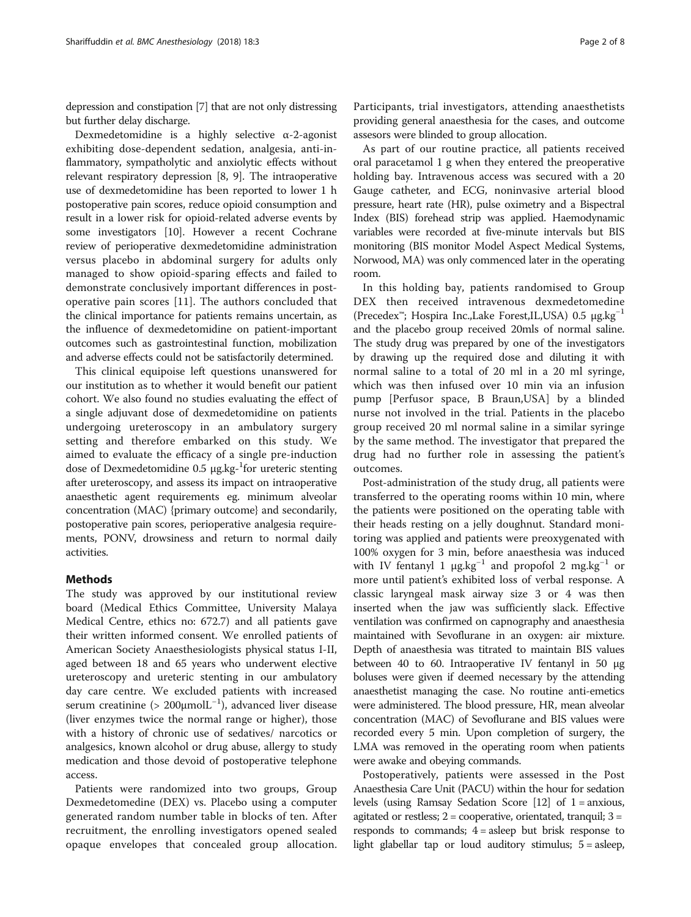depression and constipation [[7](#page-7-0)] that are not only distressing but further delay discharge.

Dexmedetomidine is a highly selective  $\alpha$ -2-agonist exhibiting dose-dependent sedation, analgesia, anti-inflammatory, sympatholytic and anxiolytic effects without relevant respiratory depression [[8, 9\]](#page-7-0). The intraoperative use of dexmedetomidine has been reported to lower 1 h postoperative pain scores, reduce opioid consumption and result in a lower risk for opioid-related adverse events by some investigators [[10](#page-7-0)]. However a recent Cochrane review of perioperative dexmedetomidine administration versus placebo in abdominal surgery for adults only managed to show opioid-sparing effects and failed to demonstrate conclusively important differences in postoperative pain scores [\[11](#page-7-0)]. The authors concluded that the clinical importance for patients remains uncertain, as the influence of dexmedetomidine on patient-important outcomes such as gastrointestinal function, mobilization and adverse effects could not be satisfactorily determined.

This clinical equipoise left questions unanswered for our institution as to whether it would benefit our patient cohort. We also found no studies evaluating the effect of a single adjuvant dose of dexmedetomidine on patients undergoing ureteroscopy in an ambulatory surgery setting and therefore embarked on this study. We aimed to evaluate the efficacy of a single pre-induction dose of Dexmedetomidine 0.5 μg.kg-<sup>1</sup>for ureteric stenting after ureteroscopy, and assess its impact on intraoperative anaesthetic agent requirements eg. minimum alveolar concentration (MAC) {primary outcome} and secondarily, postoperative pain scores, perioperative analgesia requirements, PONV, drowsiness and return to normal daily activities.

### Methods

The study was approved by our institutional review board (Medical Ethics Committee, University Malaya Medical Centre, ethics no: 672.7) and all patients gave their written informed consent. We enrolled patients of American Society Anaesthesiologists physical status I-II, aged between 18 and 65 years who underwent elective ureteroscopy and ureteric stenting in our ambulatory day care centre. We excluded patients with increased serum creatinine (> 200μmolL<sup>-1</sup>), advanced liver disease (liver enzymes twice the normal range or higher), those with a history of chronic use of sedatives/ narcotics or analgesics, known alcohol or drug abuse, allergy to study medication and those devoid of postoperative telephone access.

Patients were randomized into two groups, Group Dexmedetomedine (DEX) vs. Placebo using a computer generated random number table in blocks of ten. After recruitment, the enrolling investigators opened sealed opaque envelopes that concealed group allocation.

Participants, trial investigators, attending anaesthetists providing general anaesthesia for the cases, and outcome assesors were blinded to group allocation.

As part of our routine practice, all patients received oral paracetamol 1 g when they entered the preoperative holding bay. Intravenous access was secured with a 20 Gauge catheter, and ECG, noninvasive arterial blood pressure, heart rate (HR), pulse oximetry and a Bispectral Index (BIS) forehead strip was applied. Haemodynamic variables were recorded at five-minute intervals but BIS monitoring (BIS monitor Model Aspect Medical Systems, Norwood, MA) was only commenced later in the operating room.

In this holding bay, patients randomised to Group DEX then received intravenous dexmedetomedine (Precedex™; Hospira Inc.,Lake Forest,IL,USA) 0.5 μg.kg−<sup>1</sup> and the placebo group received 20mls of normal saline. The study drug was prepared by one of the investigators by drawing up the required dose and diluting it with normal saline to a total of 20 ml in a 20 ml syringe, which was then infused over 10 min via an infusion pump [Perfusor space, B Braun,USA] by a blinded nurse not involved in the trial. Patients in the placebo group received 20 ml normal saline in a similar syringe by the same method. The investigator that prepared the drug had no further role in assessing the patient's outcomes.

Post-administration of the study drug, all patients were transferred to the operating rooms within 10 min, where the patients were positioned on the operating table with their heads resting on a jelly doughnut. Standard monitoring was applied and patients were preoxygenated with 100% oxygen for 3 min, before anaesthesia was induced with IV fentanyl 1  $\mu$ g.kg<sup>-1</sup> and propofol 2 mg.kg<sup>-1</sup> or more until patient's exhibited loss of verbal response. A classic laryngeal mask airway size 3 or 4 was then inserted when the jaw was sufficiently slack. Effective ventilation was confirmed on capnography and anaesthesia maintained with Sevoflurane in an oxygen: air mixture. Depth of anaesthesia was titrated to maintain BIS values between 40 to 60. Intraoperative IV fentanyl in 50 μg boluses were given if deemed necessary by the attending anaesthetist managing the case. No routine anti-emetics were administered. The blood pressure, HR, mean alveolar concentration (MAC) of Sevoflurane and BIS values were recorded every 5 min. Upon completion of surgery, the LMA was removed in the operating room when patients were awake and obeying commands.

Postoperatively, patients were assessed in the Post Anaesthesia Care Unit (PACU) within the hour for sedation levels (using Ramsay Sedation Score [\[12\]](#page-7-0) of 1 = anxious, agitated or restless;  $2 =$  cooperative, orientated, tranquil;  $3 =$ responds to commands;  $4 =$  asleep but brisk response to light glabellar tap or loud auditory stimulus; 5 = asleep,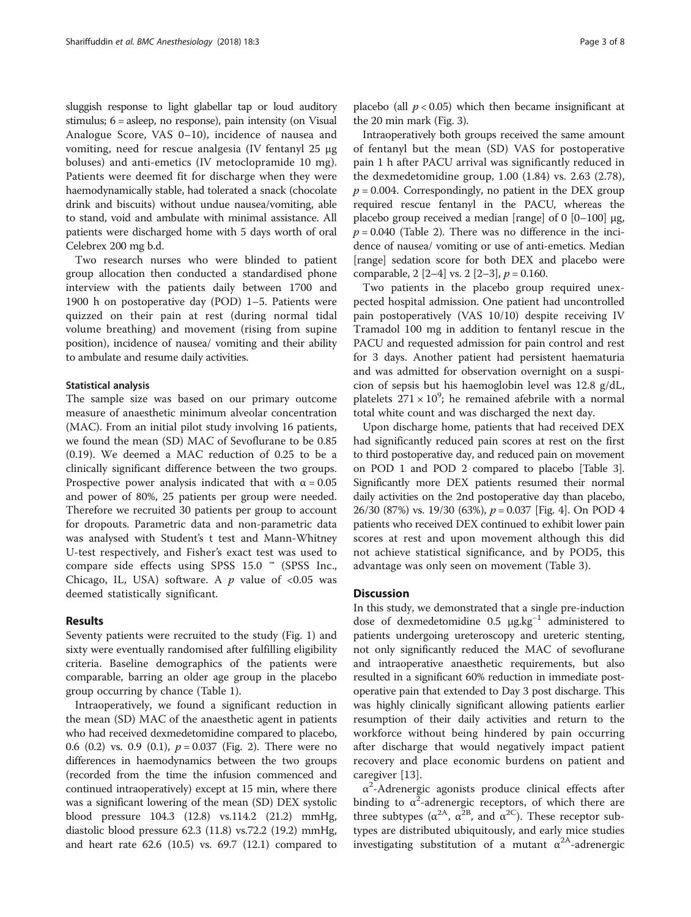sluggish response to light glabellar tap or loud auditory stimulus; 6 = asleep, no response), pain intensity (on Visual Analogue Score, VAS 0–10), incidence of nausea and vomiting, need for rescue analgesia (IV fentanyl 25 μg boluses) and anti-emetics (IV metoclopramide 10 mg). Patients were deemed fit for discharge when they were haemodynamically stable, had tolerated a snack (chocolate drink and biscuits) without undue nausea/vomiting, able to stand, void and ambulate with minimal assistance. All patients were discharged home with 5 days worth of oral Celebrex 200 mg b.d.

Two research nurses who were blinded to patient group allocation then conducted a standardised phone interview with the patients daily between 1700 and 1900 h on postoperative day (POD) 1–5. Patients were quizzed on their pain at rest (during normal tidal volume breathing) and movement (rising from supine position), incidence of nausea/ vomiting and their ability to ambulate and resume daily activities.

## Statistical analysis

The sample size was based on our primary outcome measure of anaesthetic minimum alveolar concentration (MAC). From an initial pilot study involving 16 patients, we found the mean (SD) MAC of Sevoflurane to be 0.85 (0.19). We deemed a MAC reduction of 0.25 to be a clinically significant difference between the two groups. Prospective power analysis indicated that with  $\alpha = 0.05$ and power of 80%, 25 patients per group were needed. Therefore we recruited 30 patients per group to account for dropouts. Parametric data and non-parametric data was analysed with Student's t test and Mann-Whitney U-test respectively, and Fisher's exact test was used to compare side effects using SPSS 15.0 ™ (SPSS Inc., Chicago, IL, USA) software. A  $p$  value of <0.05 was deemed statistically significant.

## Results

Seventy patients were recruited to the study (Fig. [1\)](#page-3-0) and sixty were eventually randomised after fulfilling eligibility criteria. Baseline demographics of the patients were comparable, barring an older age group in the placebo group occurring by chance (Table [1\)](#page-3-0).

Intraoperatively, we found a significant reduction in the mean (SD) MAC of the anaesthetic agent in patients who had received dexmedetomidine compared to placebo, 0.6 (0.2) vs. 0.9 (0.1),  $p = 0.037$  (Fig. [2](#page-4-0)). There were no differences in haemodynamics between the two groups (recorded from the time the infusion commenced and continued intraoperatively) except at 15 min, where there was a significant lowering of the mean (SD) DEX systolic blood pressure 104.3 (12.8) vs.114.2 (21.2) mmHg, diastolic blood pressure 62.3 (11.8) vs.72.2 (19.2) mmHg, and heart rate 62.6 (10.5) vs. 69.7 (12.1) compared to

placebo (all  $p < 0.05$ ) which then became insignificant at the 20 min mark (Fig. [3](#page-4-0)).

Intraoperatively both groups received the same amount of fentanyl but the mean (SD) VAS for postoperative pain 1 h after PACU arrival was significantly reduced in the dexmedetomidine group, 1.00 (1.84) vs. 2.63 (2.78),  $p = 0.004$ . Correspondingly, no patient in the DEX group required rescue fentanyl in the PACU, whereas the placebo group received a median [range] of 0 [0–100] μg,  $p = 0.040$  (Table [2](#page-5-0)). There was no difference in the incidence of nausea/ vomiting or use of anti-emetics. Median [range] sedation score for both DEX and placebo were comparable, 2  $[2-4]$  vs. 2  $[2-3]$ ,  $p = 0.160$ .

Two patients in the placebo group required unexpected hospital admission. One patient had uncontrolled pain postoperatively (VAS 10/10) despite receiving IV Tramadol 100 mg in addition to fentanyl rescue in the PACU and requested admission for pain control and rest for 3 days. Another patient had persistent haematuria and was admitted for observation overnight on a suspicion of sepsis but his haemoglobin level was 12.8 g/dL, platelets  $271 \times 10^9$ ; he remained afebrile with a normal total white count and was discharged the next day.

Upon discharge home, patients that had received DEX had significantly reduced pain scores at rest on the first to third postoperative day, and reduced pain on movement on POD 1 and POD 2 compared to placebo [Table [3](#page-5-0)]. Significantly more DEX patients resumed their normal daily activities on the 2nd postoperative day than placebo, 26/30 (87%) vs. 19/30 (63%), p = 0.037 [Fig. [4](#page-6-0)]. On POD 4 patients who received DEX continued to exhibit lower pain scores at rest and upon movement although this did not achieve statistical significance, and by POD5, this advantage was only seen on movement (Table [3](#page-5-0)).

## **Discussion**

In this study, we demonstrated that a single pre-induction dose of dexmedetomidine 0.5  $\mu$ g.kg<sup>-1</sup> administered to patients undergoing ureteroscopy and ureteric stenting, not only significantly reduced the MAC of sevoflurane and intraoperative anaesthetic requirements, but also resulted in a significant 60% reduction in immediate postoperative pain that extended to Day 3 post discharge. This was highly clinically significant allowing patients earlier resumption of their daily activities and return to the workforce without being hindered by pain occurring after discharge that would negatively impact patient recovery and place economic burdens on patient and caregiver [\[13](#page-7-0)].

 $\alpha^2$ -Adrenergic agonists produce clinical effects after binding to  $\alpha^2$ -adrenergic receptors, of which there are three subtypes ( $\alpha^{2A}$ ,  $\alpha^{2B}$ , and  $\alpha^{2C}$ ). These receptor subtypes are distributed ubiquitously, and early mice studies investigating substitution of a mutant  $\alpha^{2A}$ -adrenergic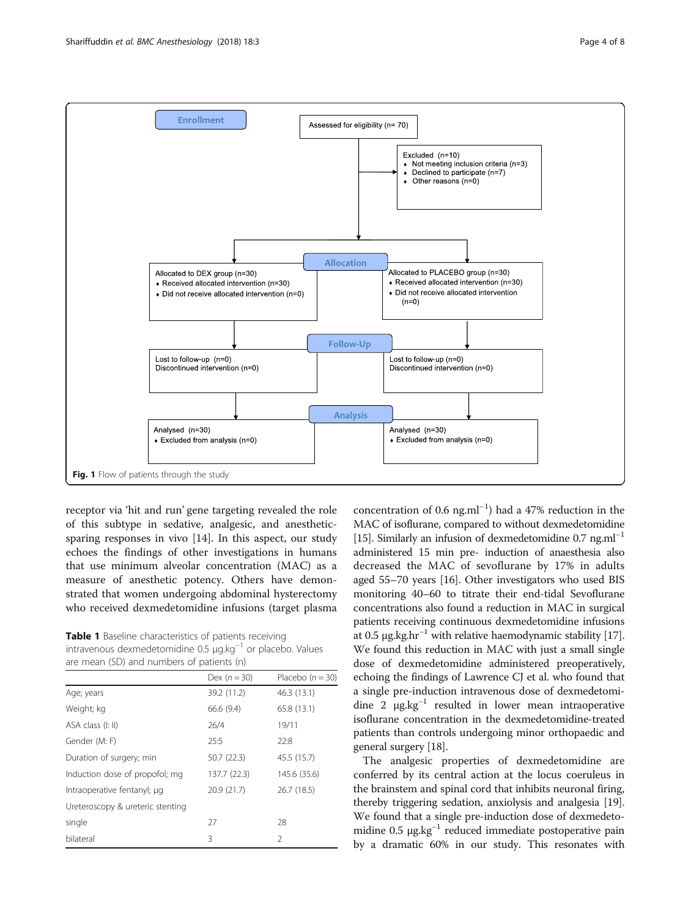<span id="page-3-0"></span>

receptor via 'hit and run' gene targeting revealed the role of this subtype in sedative, analgesic, and anestheticsparing responses in vivo [\[14\]](#page-7-0). In this aspect, our study echoes the findings of other investigations in humans that use minimum alveolar concentration (MAC) as a measure of anesthetic potency. Others have demonstrated that women undergoing abdominal hysterectomy who received dexmedetomidine infusions (target plasma

Table 1 Baseline characteristics of patients receiving intravenous dexmedetomidine 0.5 μg.kg−<sup>1</sup> or placebo. Values are mean (SD) and numbers of patients (n)

|                                  | Dex $(n=30)$ | Placebo $(n = 30)$ |
|----------------------------------|--------------|--------------------|
| Age; years                       | 39.2 (11.2)  | 46.3 (13.1)        |
| Weight; kg                       | 66.6 (9.4)   | 65.8 (13.1)        |
| ASA class (I: II)                | 26/4         | 19/11              |
| Gender (M: F)                    | 25:5         | 22:8               |
| Duration of surgery; min         | 50.7 (22.3)  | 45.5 (15.7)        |
| Induction dose of propofol; mg   | 137.7 (22.3) | 145.6 (35.6)       |
| Intraoperative fentanyl; µg      | 20.9 (21.7)  | 26.7 (18.5)        |
| Ureteroscopy & ureteric stenting |              |                    |
| single                           | 27           | 28                 |
| bilateral                        | 3            | 2                  |

concentration of 0.6 ng.ml−<sup>1</sup> ) had a 47% reduction in the MAC of isoflurane, compared to without dexmedetomidine [[15](#page-7-0)]. Similarly an infusion of dexmedetomidine 0.7 ng.ml<sup>-1</sup> administered 15 min pre- induction of anaesthesia also decreased the MAC of sevoflurane by 17% in adults aged 55–70 years [\[16](#page-7-0)]. Other investigators who used BIS monitoring 40–60 to titrate their end-tidal Sevoflurane concentrations also found a reduction in MAC in surgical patients receiving continuous dexmedetomidine infusions at 0.5  $\mu$ g.kg.hr<sup>-1</sup> with relative haemodynamic stability [[17](#page-7-0)]. We found this reduction in MAC with just a small single dose of dexmedetomidine administered preoperatively, echoing the findings of Lawrence CJ et al. who found that a single pre-induction intravenous dose of dexmedetomidine 2  $\mu$ g.kg<sup>-1</sup> resulted in lower mean intraoperative isoflurane concentration in the dexmedetomidine-treated patients than controls undergoing minor orthopaedic and general surgery [\[18\]](#page-7-0).

The analgesic properties of dexmedetomidine are conferred by its central action at the locus coeruleus in the brainstem and spinal cord that inhibits neuronal firing, thereby triggering sedation, anxiolysis and analgesia [[19](#page-7-0)]. We found that a single pre-induction dose of dexmedetomidine 0.5 μg.kg<sup>-1</sup> reduced immediate postoperative pain by a dramatic 60% in our study. This resonates with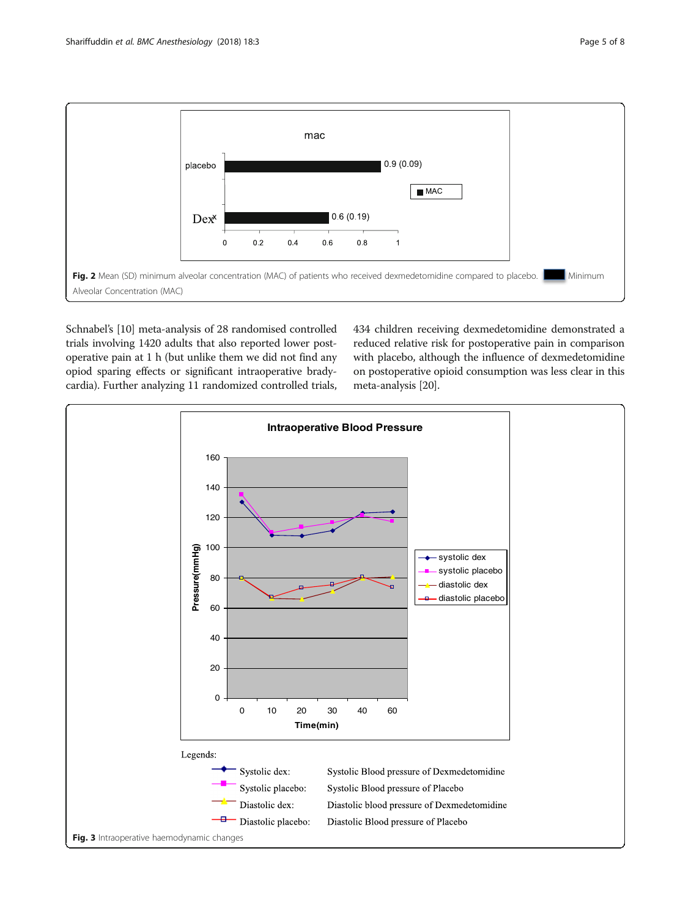<span id="page-4-0"></span>

Schnabel's [[10](#page-7-0)] meta-analysis of 28 randomised controlled trials involving 1420 adults that also reported lower postoperative pain at 1 h (but unlike them we did not find any opiod sparing effects or significant intraoperative bradycardia). Further analyzing 11 randomized controlled trials, 434 children receiving dexmedetomidine demonstrated a reduced relative risk for postoperative pain in comparison with placebo, although the influence of dexmedetomidine on postoperative opioid consumption was less clear in this meta-analysis [\[20\]](#page-7-0).

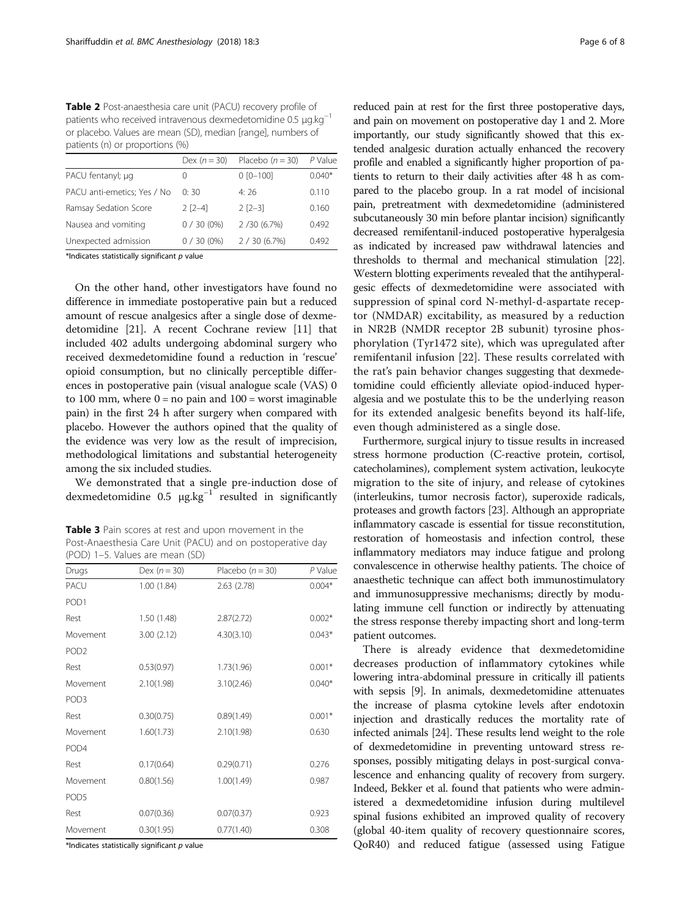<span id="page-5-0"></span>Table 2 Post-anaesthesia care unit (PACU) recovery profile of patients who received intravenous dexmedetomidine 0.5 μg.kg−<sup>1</sup> or placebo. Values are mean (SD), median [range], numbers of patients (n) or proportions (%)

|                             | Dex $(n=30)$     | Placebo $(n = 30)$ | P Value  |
|-----------------------------|------------------|--------------------|----------|
| PACU fentanyl; µg           | $\left( \right)$ | $0 [0 - 100]$      | $0.040*$ |
| PACU anti-emetics; Yes / No | 0:30             | 4:76               | 0.110    |
| Ramsay Sedation Score       | $2$ $[2-4]$      | $2$ $[2-3]$        | 0.160    |
| Nausea and vomiting         | $0/30(0\%)$      | 2/30(6.7%)         | 0.492    |
| Unexpected admission        | $0/30(0\%)$      | 2 / 30 (6.7%)      | 0.492    |

\*Indicates statistically significant  $p$  value

On the other hand, other investigators have found no difference in immediate postoperative pain but a reduced amount of rescue analgesics after a single dose of dexmedetomidine [\[21\]](#page-7-0). A recent Cochrane review [\[11\]](#page-7-0) that included 402 adults undergoing abdominal surgery who received dexmedetomidine found a reduction in 'rescue' opioid consumption, but no clinically perceptible differences in postoperative pain (visual analogue scale (VAS) 0 to 100 mm, where  $0 = no$  pain and  $100 =$  worst imaginable pain) in the first 24 h after surgery when compared with placebo. However the authors opined that the quality of the evidence was very low as the result of imprecision, methodological limitations and substantial heterogeneity among the six included studies.

We demonstrated that a single pre-induction dose of dexmedetomidine 0.5  $\mu$ g.kg<sup>-1</sup> resulted in significantly

Table 3 Pain scores at rest and upon movement in the Post-Anaesthesia Care Unit (PACU) and on postoperative day (POD) 1–5. Values are mean (SD)

| Drugs            | Dex $(n = 30)$ | Placebo $(n = 30)$ | P Value  |
|------------------|----------------|--------------------|----------|
| PACU             | 1.00(1.84)     | 2.63(2.78)         | $0.004*$ |
| POD <sub>1</sub> |                |                    |          |
| Rest             | 1.50 (1.48)    | 2.87(2.72)         | $0.002*$ |
| Movement         | 3.00(2.12)     | 4.30(3.10)         | $0.043*$ |
| POD <sub>2</sub> |                |                    |          |
| Rest             | 0.53(0.97)     | 1.73(1.96)         | $0.001*$ |
| Movement         | 2.10(1.98)     | 3.10(2.46)         | $0.040*$ |
| POD <sub>3</sub> |                |                    |          |
| Rest             | 0.30(0.75)     | 0.89(1.49)         | $0.001*$ |
| Movement         | 1.60(1.73)     | 2.10(1.98)         | 0.630    |
| POD <sub>4</sub> |                |                    |          |
| Rest             | 0.17(0.64)     | 0.29(0.71)         | 0.276    |
| Movement         | 0.80(1.56)     | 1.00(1.49)         | 0.987    |
| POD <sub>5</sub> |                |                    |          |
| Rest             | 0.07(0.36)     | 0.07(0.37)         | 0.923    |
| Movement         | 0.30(1.95)     | 0.77(1.40)         | 0.308    |

 $*$ Indicates statistically significant  $p$  value

reduced pain at rest for the first three postoperative days, and pain on movement on postoperative day 1 and 2. More importantly, our study significantly showed that this extended analgesic duration actually enhanced the recovery profile and enabled a significantly higher proportion of patients to return to their daily activities after 48 h as compared to the placebo group. In a rat model of incisional pain, pretreatment with dexmedetomidine (administered subcutaneously 30 min before plantar incision) significantly decreased remifentanil-induced postoperative hyperalgesia as indicated by increased paw withdrawal latencies and thresholds to thermal and mechanical stimulation [\[22](#page-7-0)]. Western blotting experiments revealed that the antihyperalgesic effects of dexmedetomidine were associated with suppression of spinal cord N-methyl-d-aspartate receptor (NMDAR) excitability, as measured by a reduction in NR2B (NMDR receptor 2B subunit) tyrosine phosphorylation (Tyr1472 site), which was upregulated after remifentanil infusion [[22\]](#page-7-0). These results correlated with the rat's pain behavior changes suggesting that dexmedetomidine could efficiently alleviate opiod-induced hyperalgesia and we postulate this to be the underlying reason for its extended analgesic benefits beyond its half-life, even though administered as a single dose.

Furthermore, surgical injury to tissue results in increased stress hormone production (C-reactive protein, cortisol, catecholamines), complement system activation, leukocyte migration to the site of injury, and release of cytokines (interleukins, tumor necrosis factor), superoxide radicals, proteases and growth factors [[23](#page-7-0)]. Although an appropriate inflammatory cascade is essential for tissue reconstitution, restoration of homeostasis and infection control, these inflammatory mediators may induce fatigue and prolong convalescence in otherwise healthy patients. The choice of anaesthetic technique can affect both immunostimulatory and immunosuppressive mechanisms; directly by modulating immune cell function or indirectly by attenuating the stress response thereby impacting short and long-term patient outcomes.

There is already evidence that dexmedetomidine decreases production of inflammatory cytokines while lowering intra-abdominal pressure in critically ill patients with sepsis [\[9](#page-7-0)]. In animals, dexmedetomidine attenuates the increase of plasma cytokine levels after endotoxin injection and drastically reduces the mortality rate of infected animals [\[24\]](#page-7-0). These results lend weight to the role of dexmedetomidine in preventing untoward stress responses, possibly mitigating delays in post-surgical convalescence and enhancing quality of recovery from surgery. Indeed, Bekker et al. found that patients who were administered a dexmedetomidine infusion during multilevel spinal fusions exhibited an improved quality of recovery (global 40-item quality of recovery questionnaire scores, QoR40) and reduced fatigue (assessed using Fatigue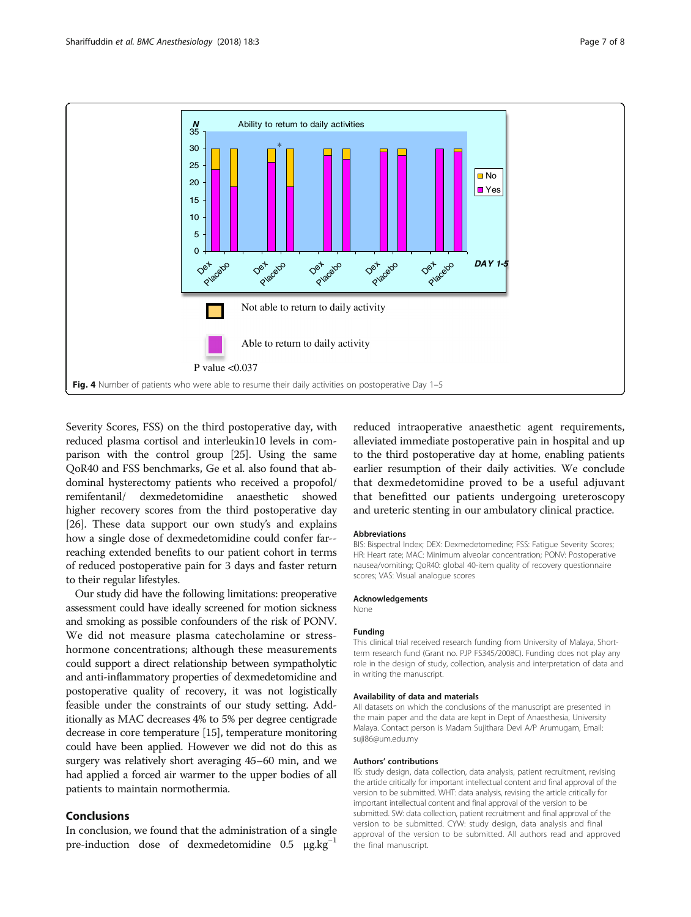<span id="page-6-0"></span>

Severity Scores, FSS) on the third postoperative day, with reduced plasma cortisol and interleukin10 levels in comparison with the control group [[25](#page-7-0)]. Using the same QoR40 and FSS benchmarks, Ge et al. also found that abdominal hysterectomy patients who received a propofol/ remifentanil/ dexmedetomidine anaesthetic showed higher recovery scores from the third postoperative day [[26](#page-7-0)]. These data support our own study's and explains how a single dose of dexmedetomidine could confer far- reaching extended benefits to our patient cohort in terms of reduced postoperative pain for 3 days and faster return to their regular lifestyles.

Our study did have the following limitations: preoperative assessment could have ideally screened for motion sickness and smoking as possible confounders of the risk of PONV. We did not measure plasma catecholamine or stresshormone concentrations; although these measurements could support a direct relationship between sympatholytic and anti-inflammatory properties of dexmedetomidine and postoperative quality of recovery, it was not logistically feasible under the constraints of our study setting. Additionally as MAC decreases 4% to 5% per degree centigrade decrease in core temperature [\[15\]](#page-7-0), temperature monitoring could have been applied. However we did not do this as surgery was relatively short averaging 45–60 min, and we had applied a forced air warmer to the upper bodies of all patients to maintain normothermia.

## Conclusions

In conclusion, we found that the administration of a single pre-induction dose of dexmedetomidine  $0.5 \mu g. kg^{-1}$ 

reduced intraoperative anaesthetic agent requirements, alleviated immediate postoperative pain in hospital and up to the third postoperative day at home, enabling patients earlier resumption of their daily activities. We conclude that dexmedetomidine proved to be a useful adjuvant that benefitted our patients undergoing ureteroscopy and ureteric stenting in our ambulatory clinical practice.

#### Abbreviations

BIS: Bispectral Index; DEX: Dexmedetomedine; FSS: Fatigue Severity Scores; HR: Heart rate; MAC: Minimum alveolar concentration; PONV: Postoperative nausea/vomiting; QoR40: global 40-item quality of recovery questionnaire scores; VAS: Visual analogue scores

### Acknowledgements

None

#### Funding

This clinical trial received research funding from University of Malaya, Shortterm research fund (Grant no. PJP FS345/2008C). Funding does not play any role in the design of study, collection, analysis and interpretation of data and in writing the manuscript.

#### Availability of data and materials

All datasets on which the conclusions of the manuscript are presented in the main paper and the data are kept in Dept of Anaesthesia, University Malaya. Contact person is Madam Sujithara Devi A/P Arumugam, Email: suji86@um.edu.my

#### Authors' contributions

IIS: study design, data collection, data analysis, patient recruitment, revising the article critically for important intellectual content and final approval of the version to be submitted. WHT: data analysis, revising the article critically for important intellectual content and final approval of the version to be submitted. SW: data collection, patient recruitment and final approval of the version to be submitted. CYW: study design, data analysis and final approval of the version to be submitted. All authors read and approved the final manuscript.